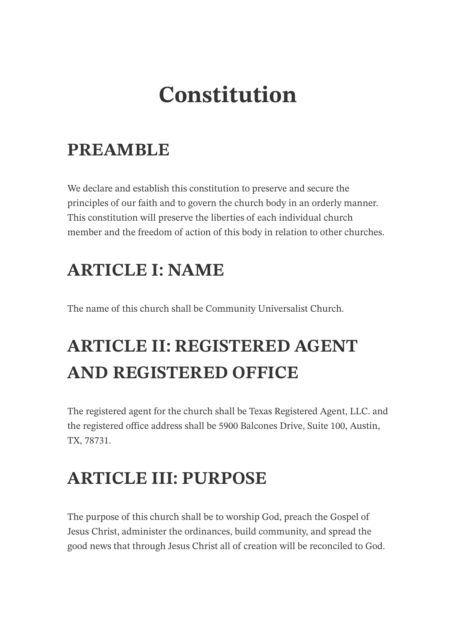# **Constitution**

# **PREAMBLE**

We declare and establish this constitution to preserve and secure the principles of our faith and to govern the church body in an orderly manner. This constitution will preserve the liberties of each individual church member and the freedom of action of this body in relation to other churches.

# **ARTICLE I: NAME**

The name of this church shall be Community Universalist Church.

# **ARTICLE II: REGISTERED AGENT AND REGISTERED OFFICE**

The registered agent for the church shall be Texas Registered Agent, LLC. and the registered office address shall be 5900 Balcones Drive, Suite 100, Austin, TX, 78731.

# **ARTICLE III: PURPOSE**

The purpose of this church shall be to worship God, preach the Gospel of Jesus Christ, administer the ordinances, build community, and spread the good news that through Jesus Christ all of creation will be reconciled to God.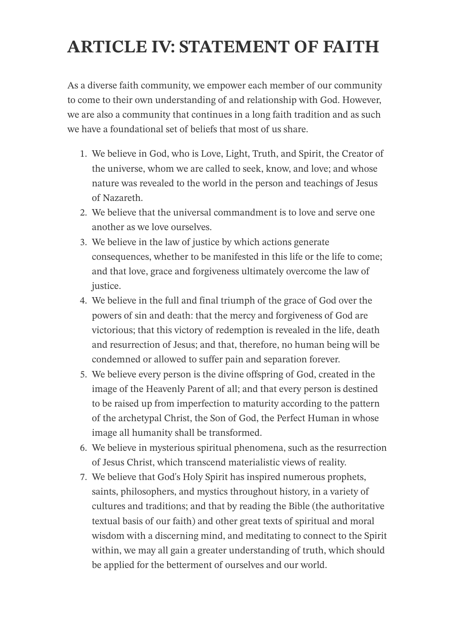# **ARTICLE IV: STATEMENT OF FAITH**

As a diverse faith community, we empower each member of our community to come to their own understanding of and relationship with God. However, we are also a community that continues in a long faith tradition and as such we have a foundational set of beliefs that most of us share.

- 1. We believe in God, who is Love, Light, Truth, and Spirit, the Creator of the universe, whom we are called to seek, know, and love; and whose nature was revealed to the world in the person and teachings of Jesus of Nazareth.
- 2. We believe that the universal commandment is to love and serve one another as we love ourselves.
- 3. We believe in the law of justice by which actions generate consequences, whether to be manifested in this life or the life to come; and that love, grace and forgiveness ultimately overcome the law of justice.
- 4. We believe in the full and final triumph of the grace of God over the powers of sin and death: that the mercy and forgiveness of God are victorious; that this victory of redemption is revealed in the life, death and resurrection of Jesus; and that, therefore, no human being will be condemned or allowed to suffer pain and separation forever.
- 5. We believe every person is the divine offspring of God, created in the image of the Heavenly Parent of all; and that every person is destined to be raised up from imperfection to maturity according to the pattern of the archetypal Christ, the Son of God, the Perfect Human in whose image all humanity shall be transformed.
- 6. We believe in mysterious spiritual phenomena, such as the resurrection of Jesus Christ, which transcend materialistic views of reality.
- 7. We believe that God's Holy Spirit has inspired numerous prophets, saints, philosophers, and mystics throughout history, in a variety of cultures and traditions; and that by reading the Bible (the authoritative textual basis of our faith) and other great texts of spiritual and moral wisdom with a discerning mind, and meditating to connect to the Spirit within, we may all gain a greater understanding of truth, which should be applied for the betterment of ourselves and our world.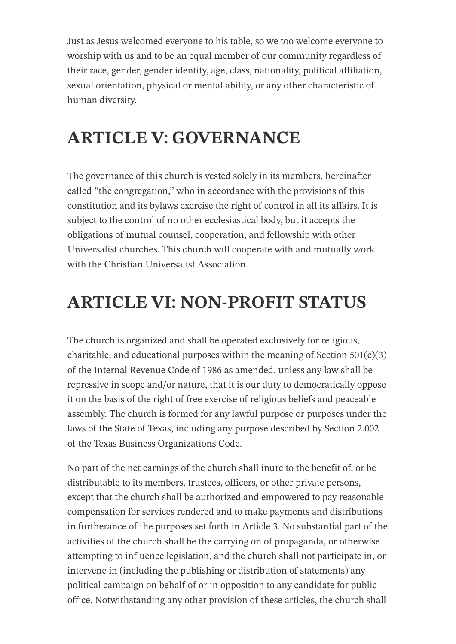Just as Jesus welcomed everyone to his table, so we too welcome everyone to worship with us and to be an equal member of our community regardless of their race, gender, gender identity, age, class, nationality, political affiliation, sexual orientation, physical or mental ability, or any other characteristic of human diversity.

# **ARTICLE V: GOVERNANCE**

The governance of this church is vested solely in its members, hereinafter called "the congregation," who in accordance with the provisions of this constitution and its bylaws exercise the right of control in all its affairs. It is subject to the control of no other ecclesiastical body, but it accepts the obligations of mutual counsel, cooperation, and fellowship with other Universalist churches. This church will cooperate with and mutually work with the Christian Universalist Association.

# **ARTICLE VI: NON-PROFIT STATUS**

The church is organized and shall be operated exclusively for religious, charitable, and educational purposes within the meaning of Section  $501(c)(3)$ of the Internal Revenue Code of 1986 as amended, unless any law shall be repressive in scope and/or nature, that it is our duty to democratically oppose it on the basis of the right of free exercise of religious beliefs and peaceable assembly. The church is formed for any lawful purpose or purposes under the laws of the State of Texas, including any purpose described by Section 2.002 of the Texas Business Organizations Code.

No part of the net earnings of the church shall inure to the benefit of, or be distributable to its members, trustees, officers, or other private persons, except that the church shall be authorized and empowered to pay reasonable compensation for services rendered and to make payments and distributions in furtherance of the purposes set forth in Article 3. No substantial part of the activities of the church shall be the carrying on of propaganda, or otherwise attempting to influence legislation, and the church shall not participate in, or intervene in (including the publishing or distribution of statements) any political campaign on behalf of or in opposition to any candidate for public office. Notwithstanding any other provision of these articles, the church shall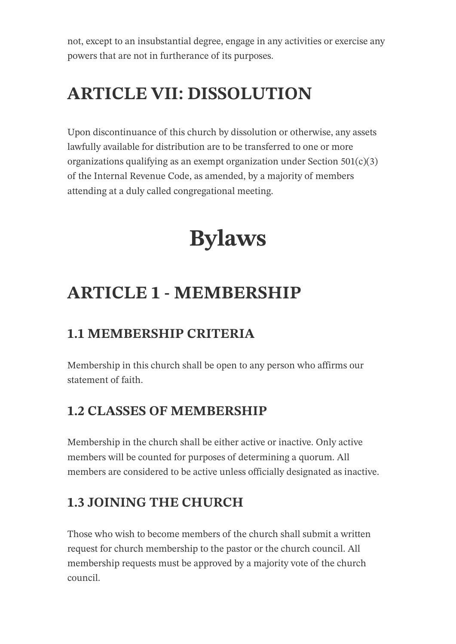not, except to an insubstantial degree, engage in any activities or exercise any powers that are not in furtherance of its purposes.

# **ARTICLE VII: DISSOLUTION**

Upon discontinuance of this church by dissolution or otherwise, any assets lawfully available for distribution are to be transferred to one or more organizations qualifying as an exempt organization under Section  $501(c)(3)$ of the Internal Revenue Code, as amended, by a majority of members attending at a duly called congregational meeting.

# **Bylaws**

# **ARTICLE 1 - MEMBERSHIP**

## **1.1 MEMBERSHIP CRITERIA**

Membership in this church shall be open to any person who affirms our statement of faith.

### **1.2 CLASSES OF MEMBERSHIP**

Membership in the church shall be either active or inactive. Only active members will be counted for purposes of determining a quorum. All members are considered to be active unless officially designated as inactive.

# **1.3 JOINING THE CHURCH**

Those who wish to become members of the church shall submit a written request for church membership to the pastor or the church council. All membership requests must be approved by a majority vote of the church council.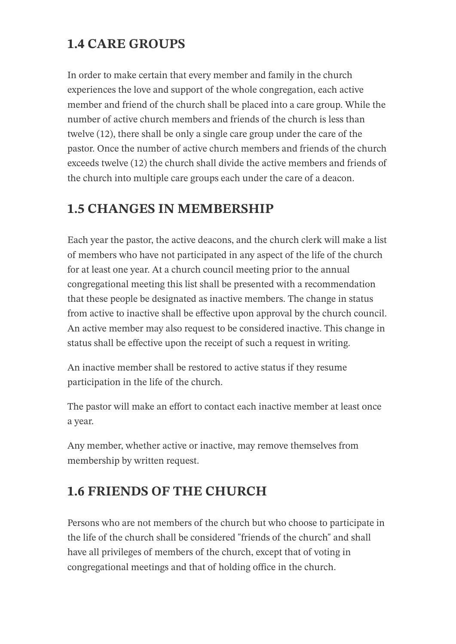## **1.4 CARE GROUPS**

In order to make certain that every member and family in the church experiences the love and support of the whole congregation, each active member and friend of the church shall be placed into a care group. While the number of active church members and friends of the church is less than twelve (12), there shall be only a single care group under the care of the pastor. Once the number of active church members and friends of the church exceeds twelve (12) the church shall divide the active members and friends of the church into multiple care groups each under the care of a deacon.

### **1.5 CHANGES IN MEMBERSHIP**

Each year the pastor, the active deacons, and the church clerk will make a list of members who have not participated in any aspect of the life of the church for at least one year. At a church council meeting prior to the annual congregational meeting this list shall be presented with a recommendation that these people be designated as inactive members. The change in status from active to inactive shall be effective upon approval by the church council. An active member may also request to be considered inactive. This change in status shall be effective upon the receipt of such a request in writing.

An inactive member shall be restored to active status if they resume participation in the life of the church.

The pastor will make an effort to contact each inactive member at least once a year.

Any member, whether active or inactive, may remove themselves from membership by written request.

### **1.6 FRIENDS OF THE CHURCH**

Persons who are not members of the church but who choose to participate in the life of the church shall be considered "friends of the church" and shall have all privileges of members of the church, except that of voting in congregational meetings and that of holding office in the church.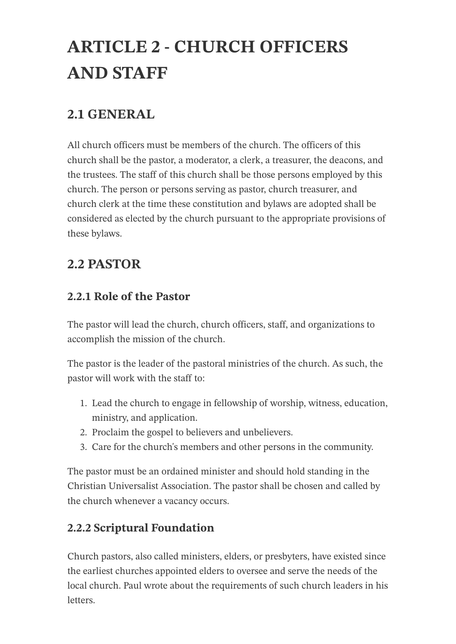# **ARTICLE 2 - CHURCH OFFICERS AND STAFF**

### **2.1 GENERAL**

All church officers must be members of the church. The officers of this church shall be the pastor, a moderator, a clerk, a treasurer, the deacons, and the trustees. The staff of this church shall be those persons employed by this church. The person or persons serving as pastor, church treasurer, and church clerk at the time these constitution and bylaws are adopted shall be considered as elected by the church pursuant to the appropriate provisions of these bylaws.

### **2.2 PASTOR**

#### **2.2.1 Role of the Pastor**

The pastor will lead the church, church officers, staff, and organizations to accomplish the mission of the church.

The pastor is the leader of the pastoral ministries of the church. As such, the pastor will work with the staff to:

- 1. Lead the church to engage in fellowship of worship, witness, education, ministry, and application.
- 2. Proclaim the gospel to believers and unbelievers.
- 3. Care for the church's members and other persons in the community.

The pastor must be an ordained minister and should hold standing in the Christian Universalist Association. The pastor shall be chosen and called by the church whenever a vacancy occurs.

#### **2.2.2 Scriptural Foundation**

Church pastors, also called ministers, elders, or presbyters, have existed since the earliest churches appointed elders to oversee and serve the needs of the local church. Paul wrote about the requirements of such church leaders in his **letters**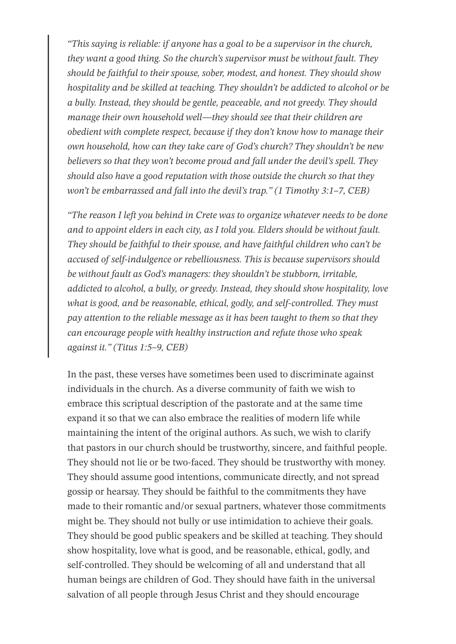*"This saying is reliable: if anyone has a goal to be a supervisor in the church, they want a good thing. So the church's supervisor must be without fault. They should be faithful to their spouse, sober, modest, and honest. They should show hospitality and be skilled at teaching. They shouldn't be addicted to alcohol or be a bully. Instead, they should be gentle, peaceable, and not greedy. They should manage their own household well—they should see that their children are obedient with complete respect, because if they don't know how to manage their own household, how can they take care of God's church? They shouldn't be new believers so that they won't become proud and fall under the devil's spell. They should also have a good reputation with those outside the church so that they won't be embarrassed and fall into the devil's trap." (1 Timothy 3:1–7, CEB)*

*"The reason I left you behind in Crete was to organize whatever needs to be done and to appoint elders in each city, as I told you. Elders should be without fault. They should be faithful to their spouse, and have faithful children who can't be accused of self-indulgence or rebelliousness. This is because supervisors should be without fault as God's managers: they shouldn't be stubborn, irritable, addicted to alcohol, a bully, or greedy. Instead, they should show hospitality, love what is good, and be reasonable, ethical, godly, and self-controlled. They must pay attention to the reliable message as it has been taught to them so that they can encourage people with healthy instruction and refute those who speak against it." (Titus 1:5–9, CEB)*

In the past, these verses have sometimes been used to discriminate against individuals in the church. As a diverse community of faith we wish to embrace this scriptual description of the pastorate and at the same time expand it so that we can also embrace the realities of modern life while maintaining the intent of the original authors. As such, we wish to clarify that pastors in our church should be trustworthy, sincere, and faithful people. They should not lie or be two-faced. They should be trustworthy with money. They should assume good intentions, communicate directly, and not spread gossip or hearsay. They should be faithful to the commitments they have made to their romantic and/or sexual partners, whatever those commitments might be. They should not bully or use intimidation to achieve their goals. They should be good public speakers and be skilled at teaching. They should show hospitality, love what is good, and be reasonable, ethical, godly, and self-controlled. They should be welcoming of all and understand that all human beings are children of God. They should have faith in the universal salvation of all people through Jesus Christ and they should encourage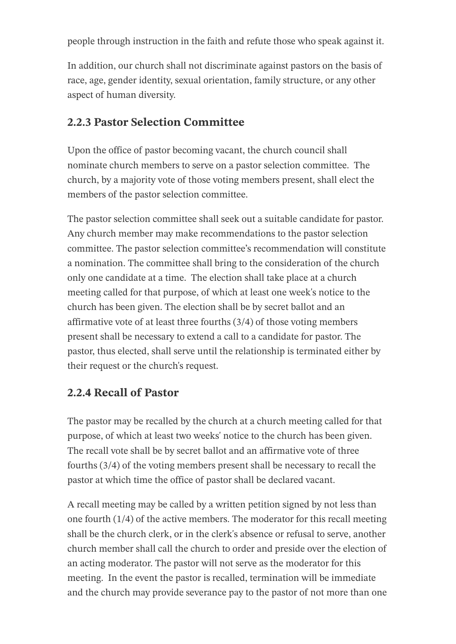people through instruction in the faith and refute those who speak against it.

In addition, our church shall not discriminate against pastors on the basis of race, age, gender identity, sexual orientation, family structure, or any other aspect of human diversity.

#### **2.2.3 Pastor Selection Committee**

Upon the office of pastor becoming vacant, the church council shall nominate church members to serve on a pastor selection committee. The church, by a majority vote of those voting members present, shall elect the members of the pastor selection committee.

The pastor selection committee shall seek out a suitable candidate for pastor. Any church member may make recommendations to the pastor selection committee. The pastor selection committee's recommendation will constitute a nomination. The committee shall bring to the consideration of the church only one candidate at a time. The election shall take place at a church meeting called for that purpose, of which at least one week's notice to the church has been given. The election shall be by secret ballot and an affirmative vote of at least three fourths (3/4) of those voting members present shall be necessary to extend a call to a candidate for pastor. The pastor, thus elected, shall serve until the relationship is terminated either by their request or the church's request.

#### **2.2.4 Recall of Pastor**

The pastor may be recalled by the church at a church meeting called for that purpose, of which at least two weeks' notice to the church has been given. The recall vote shall be by secret ballot and an affirmative vote of three fourths (3/4) of the voting members present shall be necessary to recall the pastor at which time the office of pastor shall be declared vacant.

A recall meeting may be called by a written petition signed by not less than one fourth (1/4) of the active members. The moderator for this recall meeting shall be the church clerk, or in the clerk's absence or refusal to serve, another church member shall call the church to order and preside over the election of an acting moderator. The pastor will not serve as the moderator for this meeting. In the event the pastor is recalled, termination will be immediate and the church may provide severance pay to the pastor of not more than one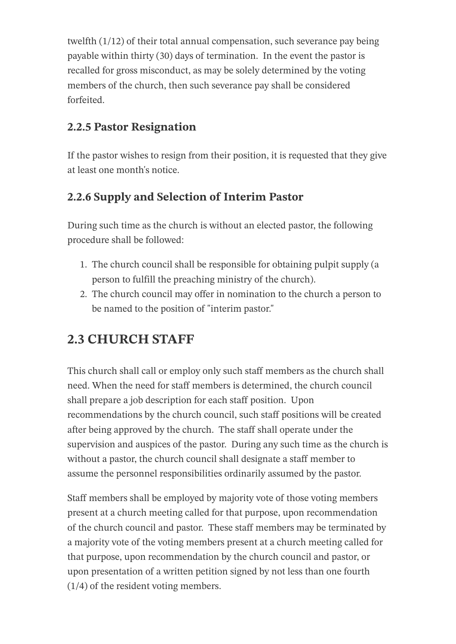twelfth (1/12) of their total annual compensation, such severance pay being payable within thirty (30) days of termination. In the event the pastor is recalled for gross misconduct, as may be solely determined by the voting members of the church, then such severance pay shall be considered forfeited.

#### **2.2.5 Pastor Resignation**

If the pastor wishes to resign from their position, it is requested that they give at least one month's notice.

#### **2.2.6 Supply and Selection of Interim Pastor**

During such time as the church is without an elected pastor, the following procedure shall be followed:

- 1. The church council shall be responsible for obtaining pulpit supply (a person to fulfill the preaching ministry of the church).
- 2. The church council may offer in nomination to the church a person to be named to the position of "interim pastor."

## **2.3 CHURCH STAFF**

This church shall call or employ only such staff members as the church shall need. When the need for staff members is determined, the church council shall prepare a job description for each staff position. Upon recommendations by the church council, such staff positions will be created after being approved by the church. The staff shall operate under the supervision and auspices of the pastor. During any such time as the church is without a pastor, the church council shall designate a staff member to assume the personnel responsibilities ordinarily assumed by the pastor.

Staff members shall be employed by majority vote of those voting members present at a church meeting called for that purpose, upon recommendation of the church council and pastor. These staff members may be terminated by a majority vote of the voting members present at a church meeting called for that purpose, upon recommendation by the church council and pastor, or upon presentation of a written petition signed by not less than one fourth (1/4) of the resident voting members.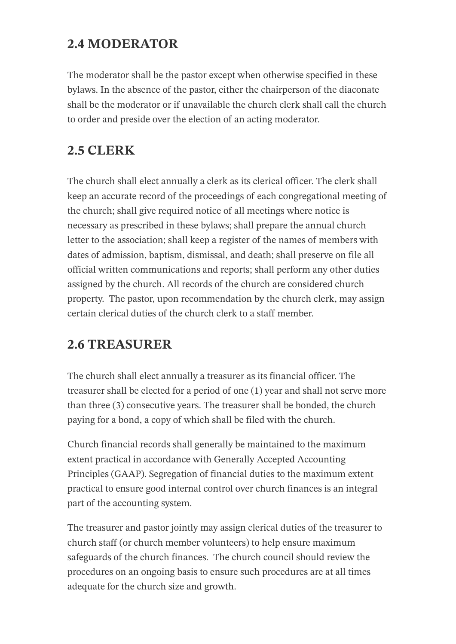### **2.4 MODERATOR**

The moderator shall be the pastor except when otherwise specified in these bylaws. In the absence of the pastor, either the chairperson of the diaconate shall be the moderator or if unavailable the church clerk shall call the church to order and preside over the election of an acting moderator.

## **2.5 CLERK**

The church shall elect annually a clerk as its clerical officer. The clerk shall keep an accurate record of the proceedings of each congregational meeting of the church; shall give required notice of all meetings where notice is necessary as prescribed in these bylaws; shall prepare the annual church letter to the association; shall keep a register of the names of members with dates of admission, baptism, dismissal, and death; shall preserve on file all official written communications and reports; shall perform any other duties assigned by the church. All records of the church are considered church property. The pastor, upon recommendation by the church clerk, may assign certain clerical duties of the church clerk to a staff member.

## **2.6 TREASURER**

The church shall elect annually a treasurer as its financial officer. The treasurer shall be elected for a period of one (1) year and shall not serve more than three (3) consecutive years. The treasurer shall be bonded, the church paying for a bond, a copy of which shall be filed with the church.

Church financial records shall generally be maintained to the maximum extent practical in accordance with Generally Accepted Accounting Principles (GAAP). Segregation of financial duties to the maximum extent practical to ensure good internal control over church finances is an integral part of the accounting system.

The treasurer and pastor jointly may assign clerical duties of the treasurer to church staff (or church member volunteers) to help ensure maximum safeguards of the church finances. The church council should review the procedures on an ongoing basis to ensure such procedures are at all times adequate for the church size and growth.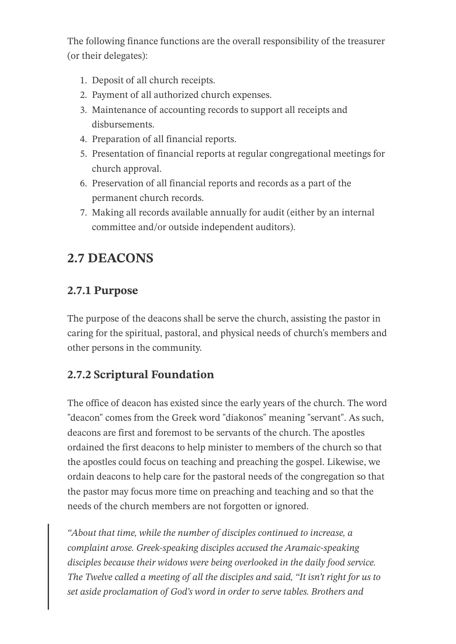The following finance functions are the overall responsibility of the treasurer (or their delegates):

- 1. Deposit of all church receipts.
- 2. Payment of all authorized church expenses.
- 3. Maintenance of accounting records to support all receipts and disbursements.
- 4. Preparation of all financial reports.
- 5. Presentation of financial reports at regular congregational meetings for church approval.
- 6. Preservation of all financial reports and records as a part of the permanent church records.
- 7. Making all records available annually for audit (either by an internal committee and/or outside independent auditors).

## **2.7 DEACONS**

#### **2.7.1 Purpose**

The purpose of the deacons shall be serve the church, assisting the pastor in caring for the spiritual, pastoral, and physical needs of church's members and other persons in the community.

#### **2.7.2 Scriptural Foundation**

The office of deacon has existed since the early years of the church. The word "deacon" comes from the Greek word "diakonos" meaning "servant". As such, deacons are first and foremost to be servants of the church. The apostles ordained the first deacons to help minister to members of the church so that the apostles could focus on teaching and preaching the gospel. Likewise, we ordain deacons to help care for the pastoral needs of the congregation so that the pastor may focus more time on preaching and teaching and so that the needs of the church members are not forgotten or ignored.

*"About that time, while the number of disciples continued to increase, a complaint arose. Greek-speaking disciples accused the Aramaic-speaking disciples because their widows were being overlooked in the daily food service. The Twelve called a meeting of all the disciples and said, "It isn't right for us to set aside proclamation of God's word in order to serve tables. Brothers and*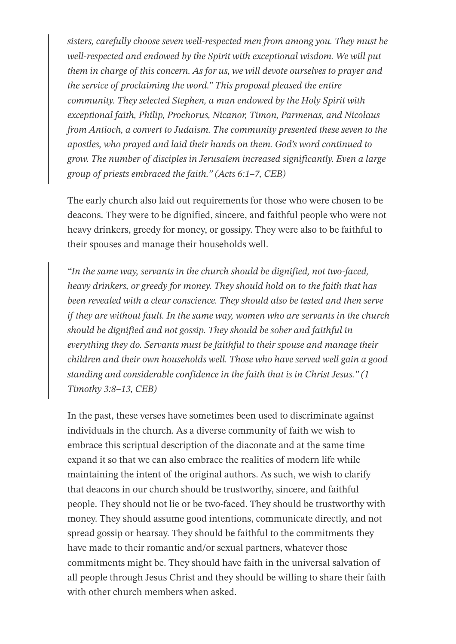*sisters, carefully choose seven well-respected men from among you. They must be well-respected and endowed by the Spirit with exceptional wisdom. We will put them in charge of this concern. As for us, we will devote ourselves to prayer and the service of proclaiming the word." This proposal pleased the entire community. They selected Stephen, a man endowed by the Holy Spirit with exceptional faith, Philip, Prochorus, Nicanor, Timon, Parmenas, and Nicolaus from Antioch, a convert to Judaism. The community presented these seven to the apostles, who prayed and laid their hands on them. God's word continued to grow. The number of disciples in Jerusalem increased significantly. Even a large group of priests embraced the faith." (Acts 6:1–7, CEB)*

The early church also laid out requirements for those who were chosen to be deacons. They were to be dignified, sincere, and faithful people who were not heavy drinkers, greedy for money, or gossipy. They were also to be faithful to their spouses and manage their households well.

*"In the same way, servants in the church should be dignified, not two-faced, heavy drinkers, or greedy for money. They should hold on to the faith that has been revealed with a clear conscience. They should also be tested and then serve if they are without fault. In the same way, women who are servants in the church should be dignified and not gossip. They should be sober and faithful in everything they do. Servants must be faithful to their spouse and manage their children and their own households well. Those who have served well gain a good standing and considerable confidence in the faith that is in Christ Jesus." (1 Timothy 3:8–13, CEB)*

In the past, these verses have sometimes been used to discriminate against individuals in the church. As a diverse community of faith we wish to embrace this scriptual description of the diaconate and at the same time expand it so that we can also embrace the realities of modern life while maintaining the intent of the original authors. As such, we wish to clarify that deacons in our church should be trustworthy, sincere, and faithful people. They should not lie or be two-faced. They should be trustworthy with money. They should assume good intentions, communicate directly, and not spread gossip or hearsay. They should be faithful to the commitments they have made to their romantic and/or sexual partners, whatever those commitments might be. They should have faith in the universal salvation of all people through Jesus Christ and they should be willing to share their faith with other church members when asked.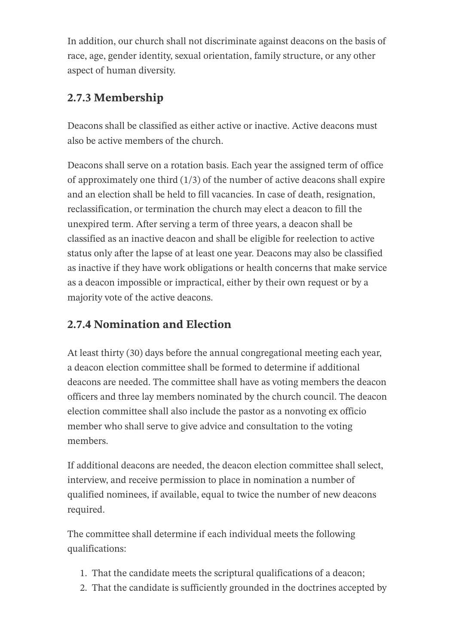In addition, our church shall not discriminate against deacons on the basis of race, age, gender identity, sexual orientation, family structure, or any other aspect of human diversity.

#### **2.7.3 Membership**

Deacons shall be classified as either active or inactive. Active deacons must also be active members of the church.

Deacons shall serve on a rotation basis. Each year the assigned term of office of approximately one third  $(1/3)$  of the number of active deacons shall expire and an election shall be held to fill vacancies. In case of death, resignation, reclassification, or termination the church may elect a deacon to fill the unexpired term. After serving a term of three years, a deacon shall be classified as an inactive deacon and shall be eligible for reelection to active status only after the lapse of at least one year. Deacons may also be classified as inactive if they have work obligations or health concerns that make service as a deacon impossible or impractical, either by their own request or by a majority vote of the active deacons.

#### **2.7.4 Nomination and Election**

At least thirty (30) days before the annual congregational meeting each year, a deacon election committee shall be formed to determine if additional deacons are needed. The committee shall have as voting members the deacon officers and three lay members nominated by the church council. The deacon election committee shall also include the pastor as a nonvoting ex officio member who shall serve to give advice and consultation to the voting members.

If additional deacons are needed, the deacon election committee shall select, interview, and receive permission to place in nomination a number of qualified nominees, if available, equal to twice the number of new deacons required.

The committee shall determine if each individual meets the following qualifications:

- 1. That the candidate meets the scriptural qualifications of a deacon;
- 2. That the candidate is sufficiently grounded in the doctrines accepted by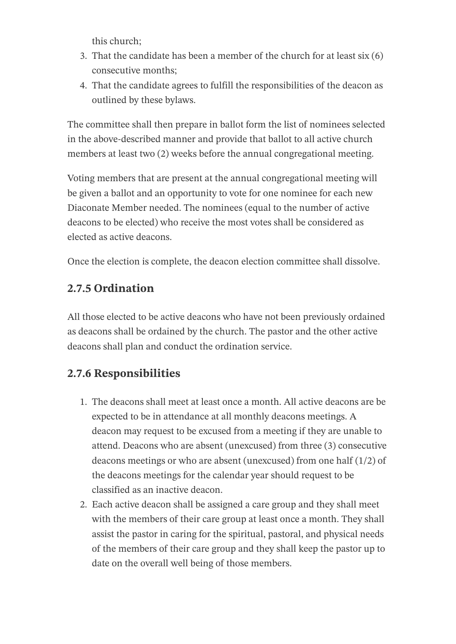this church;

- 3. That the candidate has been a member of the church for at least six (6) consecutive months;
- 4. That the candidate agrees to fulfill the responsibilities of the deacon as outlined by these bylaws.

The committee shall then prepare in ballot form the list of nominees selected in the above-described manner and provide that ballot to all active church members at least two (2) weeks before the annual congregational meeting.

Voting members that are present at the annual congregational meeting will be given a ballot and an opportunity to vote for one nominee for each new Diaconate Member needed. The nominees (equal to the number of active deacons to be elected) who receive the most votes shall be considered as elected as active deacons.

Once the election is complete, the deacon election committee shall dissolve.

#### **2.7.5 Ordination**

All those elected to be active deacons who have not been previously ordained as deacons shall be ordained by the church. The pastor and the other active deacons shall plan and conduct the ordination service.

#### **2.7.6 Responsibilities**

- 1. The deacons shall meet at least once a month. All active deacons are be expected to be in attendance at all monthly deacons meetings. A deacon may request to be excused from a meeting if they are unable to attend. Deacons who are absent (unexcused) from three (3) consecutive deacons meetings or who are absent (unexcused) from one half (1/2) of the deacons meetings for the calendar year should request to be classified as an inactive deacon.
- 2. Each active deacon shall be assigned a care group and they shall meet with the members of their care group at least once a month. They shall assist the pastor in caring for the spiritual, pastoral, and physical needs of the members of their care group and they shall keep the pastor up to date on the overall well being of those members.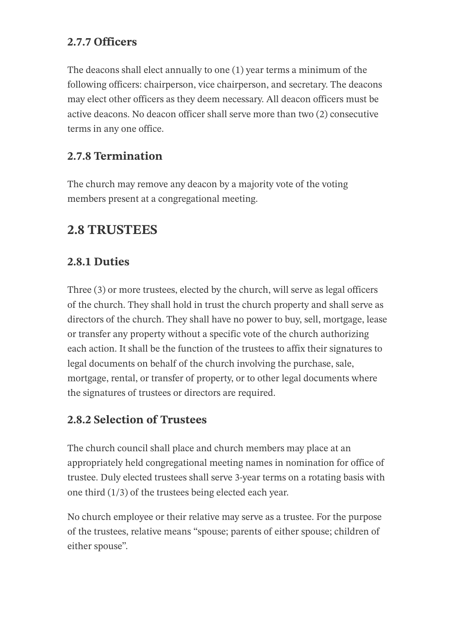#### **2.7.7 Officers**

The deacons shall elect annually to one (1) year terms a minimum of the following officers: chairperson, vice chairperson, and secretary. The deacons may elect other officers as they deem necessary. All deacon officers must be active deacons. No deacon officer shall serve more than two (2) consecutive terms in any one office.

#### **2.7.8 Termination**

The church may remove any deacon by a majority vote of the voting members present at a congregational meeting.

#### **2.8 TRUSTEES**

#### **2.8.1 Duties**

Three (3) or more trustees, elected by the church, will serve as legal officers of the church. They shall hold in trust the church property and shall serve as directors of the church. They shall have no power to buy, sell, mortgage, lease or transfer any property without a specific vote of the church authorizing each action. It shall be the function of the trustees to affix their signatures to legal documents on behalf of the church involving the purchase, sale, mortgage, rental, or transfer of property, or to other legal documents where the signatures of trustees or directors are required.

#### **2.8.2 Selection of Trustees**

The church council shall place and church members may place at an appropriately held congregational meeting names in nomination for office of trustee. Duly elected trustees shall serve 3-year terms on a rotating basis with one third (1/3) of the trustees being elected each year.

No church employee or their relative may serve as a trustee. For the purpose of the trustees, relative means "spouse; parents of either spouse; children of either spouse".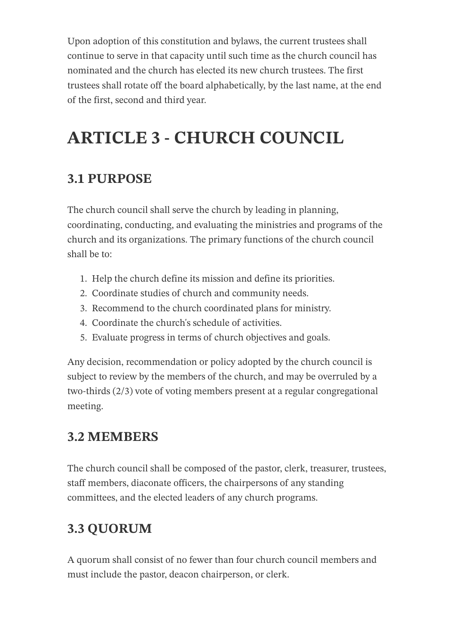Upon adoption of this constitution and bylaws, the current trustees shall continue to serve in that capacity until such time as the church council has nominated and the church has elected its new church trustees. The first trustees shall rotate off the board alphabetically, by the last name, at the end of the first, second and third year.

# **ARTICLE 3 - CHURCH COUNCIL**

### **3.1 PURPOSE**

The church council shall serve the church by leading in planning, coordinating, conducting, and evaluating the ministries and programs of the church and its organizations. The primary functions of the church council shall be to:

- 1. Help the church define its mission and define its priorities.
- 2. Coordinate studies of church and community needs.
- 3. Recommend to the church coordinated plans for ministry.
- 4. Coordinate the church's schedule of activities.
- 5. Evaluate progress in terms of church objectives and goals.

Any decision, recommendation or policy adopted by the church council is subject to review by the members of the church, and may be overruled by a two-thirds (2/3) vote of voting members present at a regular congregational meeting.

#### **3.2 MEMBERS**

The church council shall be composed of the pastor, clerk, treasurer, trustees, staff members, diaconate officers, the chairpersons of any standing committees, and the elected leaders of any church programs.

## **3.3 QUORUM**

A quorum shall consist of no fewer than four church council members and must include the pastor, deacon chairperson, or clerk.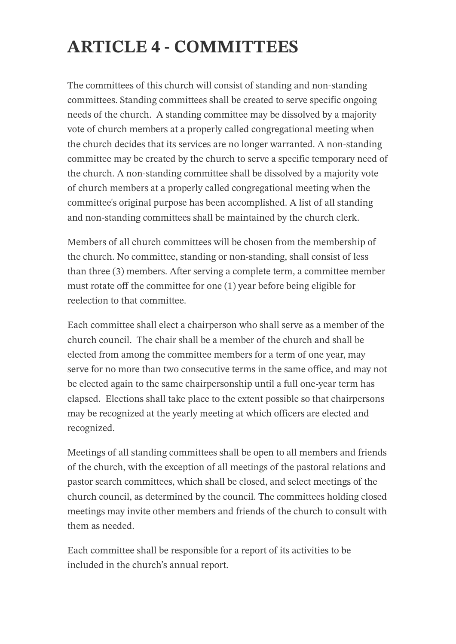# **ARTICLE 4 - COMMITTEES**

The committees of this church will consist of standing and non-standing committees. Standing committees shall be created to serve specific ongoing needs of the church. A standing committee may be dissolved by a majority vote of church members at a properly called congregational meeting when the church decides that its services are no longer warranted. A non-standing committee may be created by the church to serve a specific temporary need of the church. A non-standing committee shall be dissolved by a majority vote of church members at a properly called congregational meeting when the committee's original purpose has been accomplished. A list of all standing and non-standing committees shall be maintained by the church clerk.

Members of all church committees will be chosen from the membership of the church. No committee, standing or non-standing, shall consist of less than three (3) members. After serving a complete term, a committee member must rotate off the committee for one (1) year before being eligible for reelection to that committee.

Each committee shall elect a chairperson who shall serve as a member of the church council. The chair shall be a member of the church and shall be elected from among the committee members for a term of one year, may serve for no more than two consecutive terms in the same office, and may not be elected again to the same chairpersonship until a full one-year term has elapsed. Elections shall take place to the extent possible so that chairpersons may be recognized at the yearly meeting at which officers are elected and recognized.

Meetings of all standing committees shall be open to all members and friends of the church, with the exception of all meetings of the pastoral relations and pastor search committees, which shall be closed, and select meetings of the church council, as determined by the council. The committees holding closed meetings may invite other members and friends of the church to consult with them as needed.

Each committee shall be responsible for a report of its activities to be included in the church's annual report.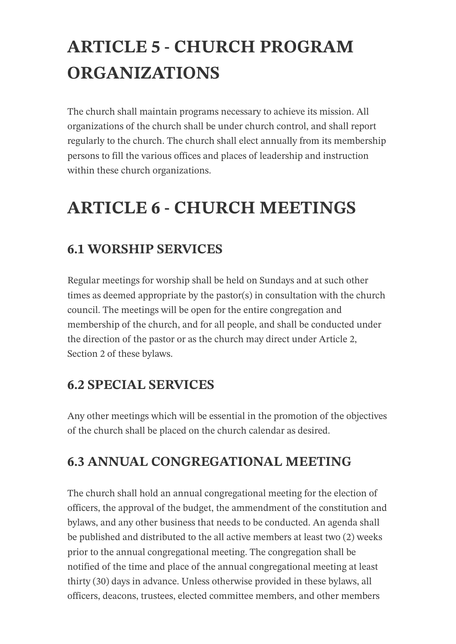# **ARTICLE 5 - CHURCH PROGRAM ORGANIZATIONS**

The church shall maintain programs necessary to achieve its mission. All organizations of the church shall be under church control, and shall report regularly to the church. The church shall elect annually from its membership persons to fill the various offices and places of leadership and instruction within these church organizations.

# **ARTICLE 6 - CHURCH MEETINGS**

### **6.1 WORSHIP SERVICES**

Regular meetings for worship shall be held on Sundays and at such other times as deemed appropriate by the pastor(s) in consultation with the church council. The meetings will be open for the entire congregation and membership of the church, and for all people, and shall be conducted under the direction of the pastor or as the church may direct under Article 2, Section 2 of these bylaws.

#### **6.2 SPECIAL SERVICES**

Any other meetings which will be essential in the promotion of the objectives of the church shall be placed on the church calendar as desired.

#### **6.3 ANNUAL CONGREGATIONAL MEETING**

The church shall hold an annual congregational meeting for the election of officers, the approval of the budget, the ammendment of the constitution and bylaws, and any other business that needs to be conducted. An agenda shall be published and distributed to the all active members at least two (2) weeks prior to the annual congregational meeting. The congregation shall be notified of the time and place of the annual congregational meeting at least thirty (30) days in advance. Unless otherwise provided in these bylaws, all officers, deacons, trustees, elected committee members, and other members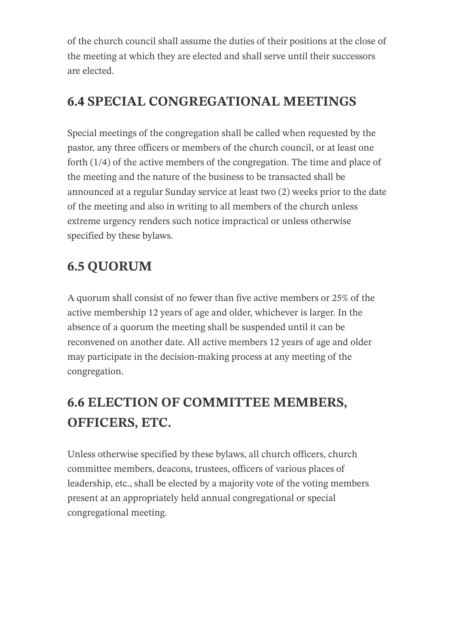of the church council shall assume the duties of their positions at the close of the meeting at which they are elected and shall serve until their successors are elected.

### **6.4 SPECIAL CONGREGATIONAL MEETINGS**

Special meetings of the congregation shall be called when requested by the pastor, any three officers or members of the church council, or at least one forth (1/4) of the active members of the congregation. The time and place of the meeting and the nature of the business to be transacted shall be announced at a regular Sunday service at least two (2) weeks prior to the date of the meeting and also in writing to all members of the church unless extreme urgency renders such notice impractical or unless otherwise specified by these bylaws.

# **6.5 QUORUM**

A quorum shall consist of no fewer than five active members or 25% of the active membership 12 years of age and older, whichever is larger. In the absence of a quorum the meeting shall be suspended until it can be reconvened on another date. All active members 12 years of age and older may participate in the decision-making process at any meeting of the congregation.

# **6.6 ELECTION OF COMMITTEE MEMBERS, OFFICERS, ETC.**

Unless otherwise specified by these bylaws, all church officers, church committee members, deacons, trustees, officers of various places of leadership, etc., shall be elected by a majority vote of the voting members present at an appropriately held annual congregational or special congregational meeting.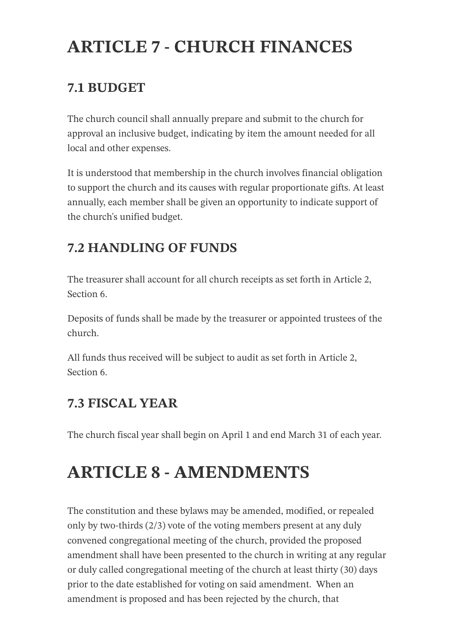# **ARTICLE 7 - CHURCH FINANCES**

### **7.1 BUDGET**

The church council shall annually prepare and submit to the church for approval an inclusive budget, indicating by item the amount needed for all local and other expenses.

It is understood that membership in the church involves financial obligation to support the church and its causes with regular proportionate gifts. At least annually, each member shall be given an opportunity to indicate support of the church's unified budget.

## **7.2 HANDLING OF FUNDS**

The treasurer shall account for all church receipts as set forth in Article 2, Section 6.

Deposits of funds shall be made by the treasurer or appointed trustees of the church.

All funds thus received will be subject to audit as set forth in Article 2, Section 6.

### **7.3 FISCAL YEAR**

The church fiscal year shall begin on April 1 and end March 31 of each year.

# **ARTICLE 8 - AMENDMENTS**

The constitution and these bylaws may be amended, modified, or repealed only by two-thirds (2/3) vote of the voting members present at any duly convened congregational meeting of the church, provided the proposed amendment shall have been presented to the church in writing at any regular or duly called congregational meeting of the church at least thirty (30) days prior to the date established for voting on said amendment. When an amendment is proposed and has been rejected by the church, that